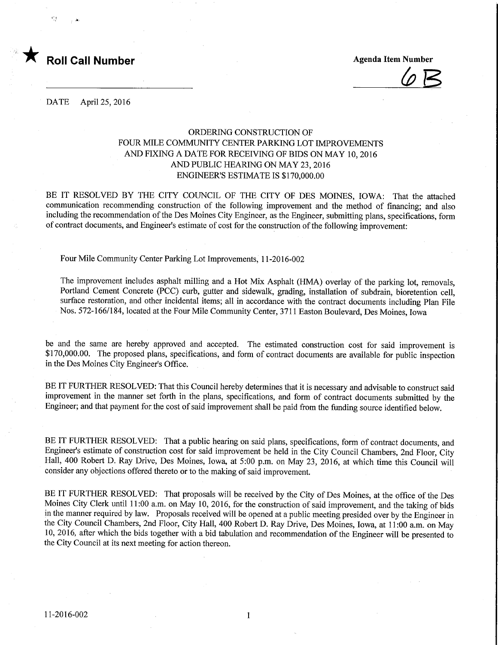

DATE April 25, 2016

## ORDERING CONSTRUCTION OF FOUR MILE COMMUNITY CENTER PARKING LOT IMPROVEMENTS AND FIXING A DATE FOR RECEIVING OF BIDS ON MAY 10,2016 AND PUBLIC HEARING ON MAY 23,2016 ENGINEER'S ESTIMATE IS \$170,000.00

BE IT RESOLVED BY THE CITY COUNCIL OF THE CITY OF DES MOINES, IOWA: That the attached communication recommending construction of the following improvement and the method of financing; and also including the recommendation of the Des Moines City Engineer, as the Engineer, submitting plans, specifications, form of contract documents, and Engineer's estimate of cost for the construction of the following improvement:

Four Mile Community Center Parking Lot Improvements, 11-2016-002

The improvement includes asphalt milling and a Hot Mix Asphalt (HMA) overlay of the parking lot, removals, Portland Cement Concrete (PCC) curb, gutter and sidewalk, grading, installation of subdrain, bioretention cell, surface restoration, and other incidental items; all in accordance with the contract documents including Plan File Nos. 572-166/184, located at the Four Mile Community Center, 3711 Easton Boulevard, Des Moines, Iowa

be and the same are hereby approved and accepted. The estimated construction cost for said improvement is \$170,000.00. The proposed plans, specifications, and form of contract documents are available for public inspection in the Des Moines City Engineer's Office.

BE IT FURTHER RESOLVED: That this Council hereby determines that it is necessary and advisable to construct said improvement in the manner set forth in the plans, specifications, and form of contract documents submitted by the Engineer; and that payment for the cost of said improvement shall be paid from the funding source identified below.

BE IT FURTHER RESOLVED: That a public hearing on said plans, specifications, form of contract documents, and Engineer's estimate of construction cost for said improvement be held in the City Council Chambers, 2nd Floor, City Hall, 400 Robert D. Ray Drive, Des Moines, Iowa, at 5:00 p.m. on May 23, 2016, at which time this Council will consider any objections offered thereto or to the making of said improvement.

BE IT FURTHER RESOLVED: That proposals will be received by the City of Des Moines, at the office of the Des Moines City Clerk until 11:00 a.m. on May 10, 2016, for the construction of said improvement, and the taking of bids in the manner required by law. Proposals received will be opened at a public meeting presided over by the Engineer in the City Council Chambers, 2nd Floor, City Hall, 400 Robert D. Ray Drive, Des Moines, Iowa, at 11:00 a.m. on May 10, 2016, after which the bids together with a bid tabulation and recommendation of the Engineer will be presented to the City Council at its next meeting for action thereon.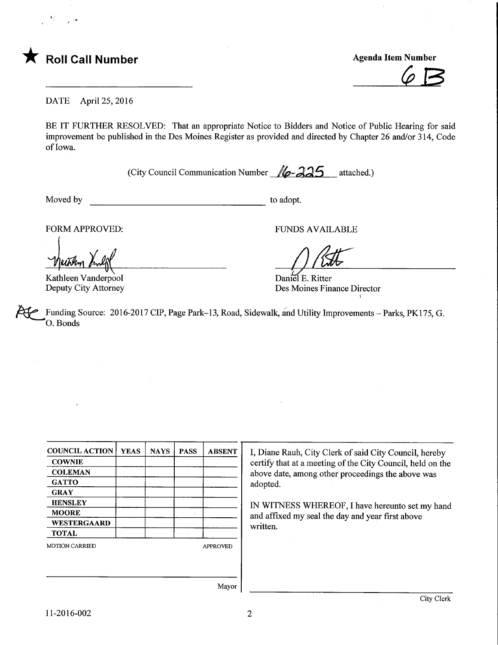



DATE April 25, 2016

BE IT FURTHER RESOLVED: That an appropriate Notice to Bidders and Notice of Public Hearing for said improvement be published in the Des Moines Register as provided and directed by Chapter 26 and/or 314, Code of Iowa.

(City Council Communication Number  $\mathcal{U}_\mathbf{0}$ - $\mathcal{Q}$  $\mathcal{Q}$  attached.)

Moved by to adopt.

Kathleen Vanderpool Deputy City Attorney

FORM APPROVED: FUNDS AVAILABLE

f)/^

Daniel E. Ritter Des Moines Finance Director

Funding Source: 2016-2017 CIP, Page Park-13, Road, Sidewalk, and Utility Improvements - Parks, PK175, G. 0. Bonds

| <b>COUNCIL ACTION</b> | <b>YEAS</b> | <b>NAYS</b> | <b>PASS</b> | <b>ABSENT</b>   |
|-----------------------|-------------|-------------|-------------|-----------------|
| <b>COWNIE</b>         |             |             |             |                 |
| <b>COLEMAN</b>        |             |             |             |                 |
| <b>GATTO</b>          |             |             |             |                 |
| <b>GRAY</b>           |             |             |             |                 |
| <b>HENSLEY</b>        |             |             |             |                 |
| <b>MOORE</b>          |             |             |             |                 |
| WESTERGAARD           |             |             |             |                 |
| <b>TOTAL</b>          |             |             |             |                 |
| <b>MOTION CARRIED</b> |             |             |             | <b>APPROVED</b> |
|                       |             |             |             |                 |
|                       |             |             |             |                 |
|                       |             |             |             |                 |

I, Diane Rauh, City Clerk of said City Council, hereby certify that at a meeting of the City Council, held on the above date, among other proceedings the above was adopted.

IN WITNESS WHEREOF, I have hereunto set my hand and affixed my seal the day and year first above written.

Mayor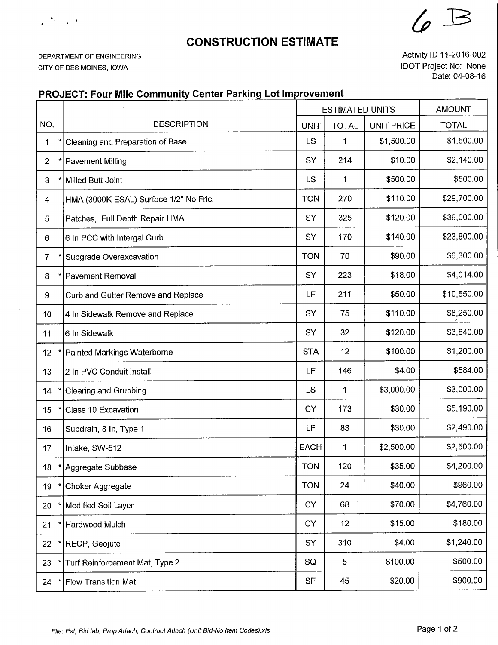



## **CONSTRUCTION ESTIMATE**

DEPARTMENT OF ENGINEERING CITY OF DES MOINES, IOWA

Activity ID 11-2016-002 **IDOT Project No: None** Date: 04-08-16

## PROJECT: Four Mile Community Center Parking Lot Improvement

|                           |                                        | <b>ESTIMATED UNITS</b> |              | <b>AMOUNT</b>     |              |
|---------------------------|----------------------------------------|------------------------|--------------|-------------------|--------------|
| NO.                       | <b>DESCRIPTION</b>                     | <b>UNIT</b>            | <b>TOTAL</b> | <b>UNIT PRICE</b> | <b>TOTAL</b> |
| 1                         | Cleaning and Preparation of Base       | LS                     | 1            | \$1,500.00        | \$1,500.00   |
| $\overline{2}$<br>$\star$ | <b>Pavement Milling</b>                | SY                     | 214          | \$10.00           | \$2,140.00   |
| 3                         | Milled Butt Joint                      | LS                     | 1            | \$500.00          | \$500.00     |
| 4                         | HMA (3000K ESAL) Surface 1/2" No Fric. | <b>TON</b>             | 270          | \$110.00          | \$29,700.00  |
| 5                         | Patches, Full Depth Repair HMA         | SY                     | 325          | \$120.00          | \$39,000.00  |
| 6                         | 6 In PCC with Intergal Curb            | SY                     | 170          | \$140.00          | \$23,800.00  |
| $\overline{7}$<br>*       | Subgrade Overexcavation                | <b>TON</b>             | 70           | \$90.00           | \$6,300.00   |
| 8                         | <b>Pavement Removal</b>                | SY                     | 223          | \$18.00           | \$4,014.00   |
| 9                         | Curb and Gutter Remove and Replace     | LF                     | 211          | \$50.00           | \$10,550.00  |
| 10                        | 4 In Sidewalk Remove and Replace       | SY                     | 75           | \$110.00          | \$8,250.00   |
| 11                        | 6 In Sidewalk                          | SY                     | 32           | \$120.00          | \$3,840.00   |
| 12                        | Painted Markings Waterborne            | <b>STA</b>             | 12           | \$100.00          | \$1,200.00   |
| 13                        | 2 In PVC Conduit Install               | LF                     | 146          | \$4.00            | \$584.00     |
| 14                        | <b>Clearing and Grubbing</b>           | LS                     | 1            | \$3,000.00        | \$3,000.00   |
| 15                        | Class 10 Excavation                    | <b>CY</b>              | 173          | \$30.00           | \$5,190.00   |
| 16                        | Subdrain, 8 In, Type 1                 | LF                     | 83           | \$30.00           | \$2,490.00   |
| 17                        | Intake, SW-512                         | <b>EACH</b>            | 1            | \$2,500.00        | \$2,500.00   |
| $18 *$                    | Aggregate Subbase                      | <b>TON</b>             | 120          | \$35.00           | \$4,200.00   |
| 19<br>$\star$             | Choker Aggregate                       | <b>TON</b>             | 24           | \$40.00           | \$960.00     |
| 20                        | Modified Soil Layer                    | <b>CY</b>              | 68           | \$70.00           | \$4,760.00   |
| 21                        | Hardwood Mulch                         | <b>CY</b>              | 12           | \$15.00           | \$180.00     |
| 22                        | RECP, Geojute                          | SY                     | 310          | \$4.00            | \$1,240.00   |
| 23                        | Turf Reinforcement Mat, Type 2         | SQ                     | 5            | \$100.00          | \$500.00     |
| ×<br>24                   | <b>Flow Transition Mat</b>             | SF                     | 45           | \$20.00           | \$900.00     |